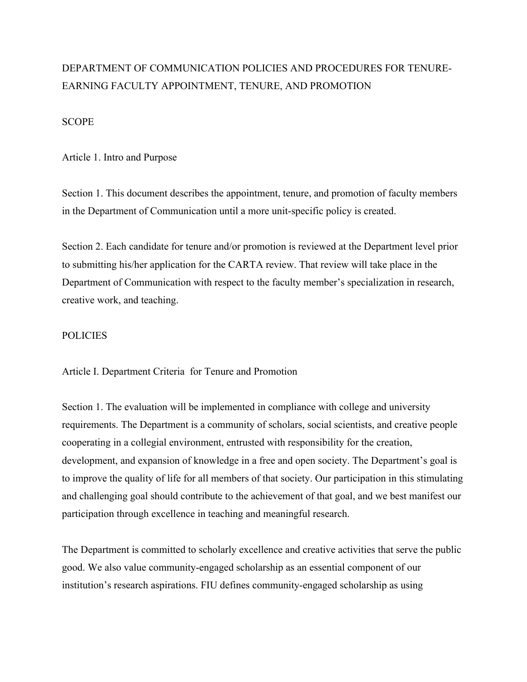# DEPARTMENT OF COMMUNICATION POLICIES AND PROCEDURES FOR TENURE-EARNING FACULTY APPOINTMENT, TENURE, AND PROMOTION

#### **SCOPE**

Article 1. Intro and Purpose

Section 1. This document describes the appointment, tenure, and promotion of faculty members in the Department of Communication until a more unit-specific policy is created.

Section 2. Each candidate for tenure and/or promotion is reviewed at the Department level prior to submitting his/her application for the CARTA review. That review will take place in the Department of Communication with respect to the faculty member's specialization in research, creative work, and teaching.

### POLICIES

Article I. Department Criteria for Tenure and Promotion

Section 1. The evaluation will be implemented in compliance with college and university requirements. The Department is a community of scholars, social scientists, and creative people cooperating in a collegial environment, entrusted with responsibility for the creation, development, and expansion of knowledge in a free and open society. The Department's goal is to improve the quality of life for all members of that society. Our participation in this stimulating and challenging goal should contribute to the achievement of that goal, and we best manifest our participation through excellence in teaching and meaningful research.

The Department is committed to scholarly excellence and creative activities that serve the public good. We also value community-engaged scholarship as an essential component of our institution's research aspirations. FIU defines community-engaged scholarship as using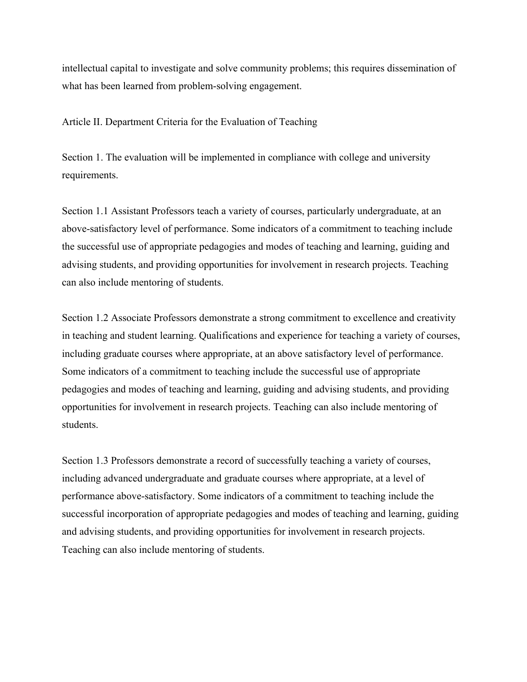intellectual capital to investigate and solve community problems; this requires dissemination of what has been learned from problem-solving engagement.

Article II. Department Criteria for the Evaluation of Teaching

Section 1. The evaluation will be implemented in compliance with college and university requirements.

Section 1.1 Assistant Professors teach a variety of courses, particularly undergraduate, at an above-satisfactory level of performance. Some indicators of a commitment to teaching include the successful use of appropriate pedagogies and modes of teaching and learning, guiding and advising students, and providing opportunities for involvement in research projects. Teaching can also include mentoring of students.

Section 1.2 Associate Professors demonstrate a strong commitment to excellence and creativity in teaching and student learning. Qualifications and experience for teaching a variety of courses, including graduate courses where appropriate, at an above satisfactory level of performance. Some indicators of a commitment to teaching include the successful use of appropriate pedagogies and modes of teaching and learning, guiding and advising students, and providing opportunities for involvement in research projects. Teaching can also include mentoring of students.

Section 1.3 Professors demonstrate a record of successfully teaching a variety of courses, including advanced undergraduate and graduate courses where appropriate, at a level of performance above-satisfactory. Some indicators of a commitment to teaching include the successful incorporation of appropriate pedagogies and modes of teaching and learning, guiding and advising students, and providing opportunities for involvement in research projects. Teaching can also include mentoring of students.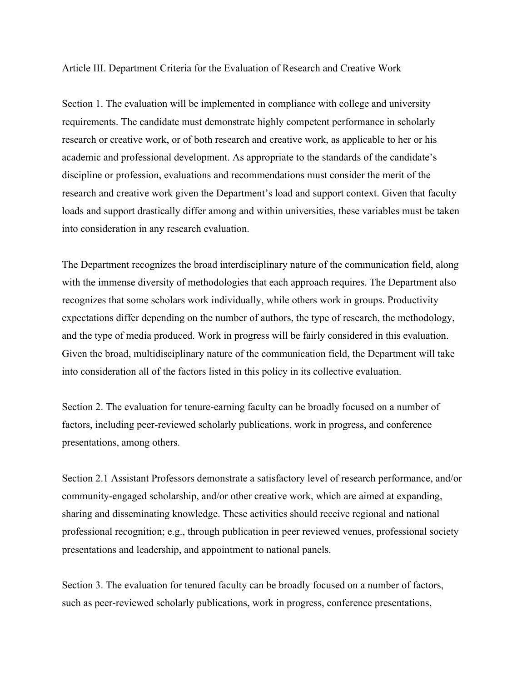Article III. Department Criteria for the Evaluation of Research and Creative Work

Section 1. The evaluation will be implemented in compliance with college and university requirements. The candidate must demonstrate highly competent performance in scholarly research or creative work, or of both research and creative work, as applicable to her or his academic and professional development. As appropriate to the standards of the candidate's discipline or profession, evaluations and recommendations must consider the merit of the research and creative work given the Department's load and support context. Given that faculty loads and support drastically differ among and within universities, these variables must be taken into consideration in any research evaluation.

The Department recognizes the broad interdisciplinary nature of the communication field, along with the immense diversity of methodologies that each approach requires. The Department also recognizes that some scholars work individually, while others work in groups. Productivity expectations differ depending on the number of authors, the type of research, the methodology, and the type of media produced. Work in progress will be fairly considered in this evaluation. Given the broad, multidisciplinary nature of the communication field, the Department will take into consideration all of the factors listed in this policy in its collective evaluation.

Section 2. The evaluation for tenure-earning faculty can be broadly focused on a number of factors, including peer-reviewed scholarly publications, work in progress, and conference presentations, among others.

Section 2.1 Assistant Professors demonstrate a satisfactory level of research performance, and/or community-engaged scholarship, and/or other creative work, which are aimed at expanding, sharing and disseminating knowledge. These activities should receive regional and national professional recognition; e.g., through publication in peer reviewed venues, professional society presentations and leadership, and appointment to national panels.

Section 3. The evaluation for tenured faculty can be broadly focused on a number of factors, such as peer-reviewed scholarly publications, work in progress, conference presentations,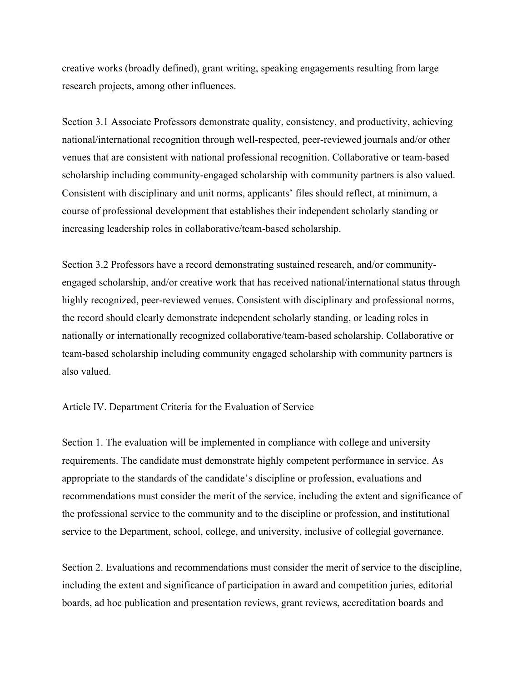creative works (broadly defined), grant writing, speaking engagements resulting from large research projects, among other influences.

Section 3.1 Associate Professors demonstrate quality, consistency, and productivity, achieving national/international recognition through well-respected, peer-reviewed journals and/or other venues that are consistent with national professional recognition. Collaborative or team-based scholarship including community-engaged scholarship with community partners is also valued. Consistent with disciplinary and unit norms, applicants' files should reflect, at minimum, a course of professional development that establishes their independent scholarly standing or increasing leadership roles in collaborative/team-based scholarship.

Section 3.2 Professors have a record demonstrating sustained research, and/or communityengaged scholarship, and/or creative work that has received national/international status through highly recognized, peer-reviewed venues. Consistent with disciplinary and professional norms, the record should clearly demonstrate independent scholarly standing, or leading roles in nationally or internationally recognized collaborative/team-based scholarship. Collaborative or team-based scholarship including community engaged scholarship with community partners is also valued.

#### Article IV. Department Criteria for the Evaluation of Service

Section 1. The evaluation will be implemented in compliance with college and university requirements. The candidate must demonstrate highly competent performance in service. As appropriate to the standards of the candidate's discipline or profession, evaluations and recommendations must consider the merit of the service, including the extent and significance of the professional service to the community and to the discipline or profession, and institutional service to the Department, school, college, and university, inclusive of collegial governance.

Section 2. Evaluations and recommendations must consider the merit of service to the discipline, including the extent and significance of participation in award and competition juries, editorial boards, ad hoc publication and presentation reviews, grant reviews, accreditation boards and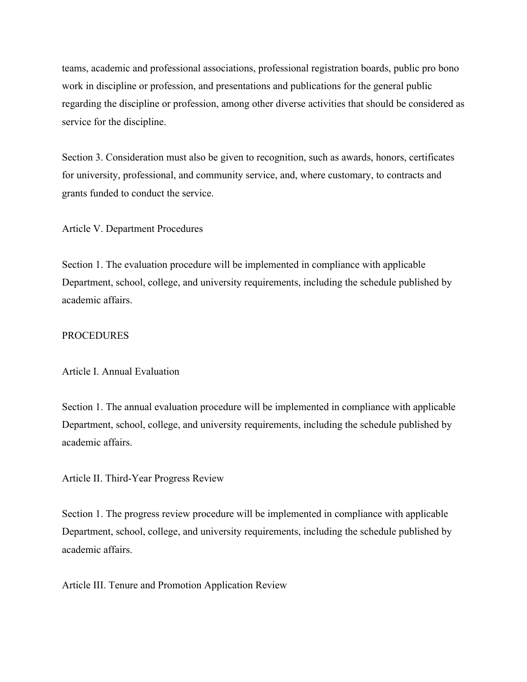teams, academic and professional associations, professional registration boards, public pro bono work in discipline or profession, and presentations and publications for the general public regarding the discipline or profession, among other diverse activities that should be considered as service for the discipline.

Section 3. Consideration must also be given to recognition, such as awards, honors, certificates for university, professional, and community service, and, where customary, to contracts and grants funded to conduct the service.

Article V. Department Procedures

Section 1. The evaluation procedure will be implemented in compliance with applicable Department, school, college, and university requirements, including the schedule published by academic affairs.

#### **PROCEDURES**

Article I. Annual Evaluation

Section 1. The annual evaluation procedure will be implemented in compliance with applicable Department, school, college, and university requirements, including the schedule published by academic affairs.

Article II. Third-Year Progress Review

Section 1. The progress review procedure will be implemented in compliance with applicable Department, school, college, and university requirements, including the schedule published by academic affairs.

Article III. Tenure and Promotion Application Review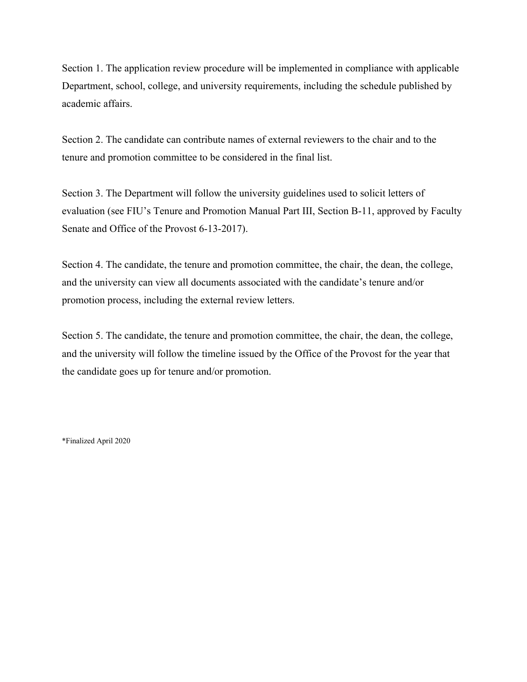Section 1. The application review procedure will be implemented in compliance with applicable Department, school, college, and university requirements, including the schedule published by academic affairs.

Section 2. The candidate can contribute names of external reviewers to the chair and to the tenure and promotion committee to be considered in the final list.

Section 3. The Department will follow the university guidelines used to solicit letters of evaluation (see FIU's Tenure and Promotion Manual Part III, Section B-11, approved by Faculty Senate and Office of the Provost 6-13-2017).

Section 4. The candidate, the tenure and promotion committee, the chair, the dean, the college, and the university can view all documents associated with the candidate's tenure and/or promotion process, including the external review letters.

Section 5. The candidate, the tenure and promotion committee, the chair, the dean, the college, and the university will follow the timeline issued by the Office of the Provost for the year that the candidate goes up for tenure and/or promotion.

\*Finalized April 2020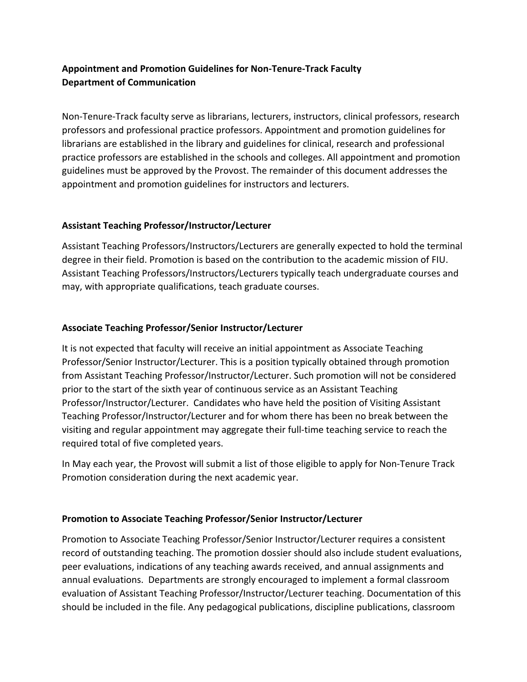# **Appointment and Promotion Guidelines for Non-Tenure-Track Faculty Department of Communication**

Non-Tenure-Track faculty serve as librarians, lecturers, instructors, clinical professors, research professors and professional practice professors. Appointment and promotion guidelines for librarians are established in the library and guidelines for clinical, research and professional practice professors are established in the schools and colleges. All appointment and promotion guidelines must be approved by the Provost. The remainder of this document addresses the appointment and promotion guidelines for instructors and lecturers.

# **Assistant Teaching Professor/Instructor/Lecturer**

Assistant Teaching Professors/Instructors/Lecturers are generally expected to hold the terminal degree in their field. Promotion is based on the contribution to the academic mission of FIU. Assistant Teaching Professors/Instructors/Lecturers typically teach undergraduate courses and may, with appropriate qualifications, teach graduate courses.

# **Associate Teaching Professor/Senior Instructor/Lecturer**

It is not expected that faculty will receive an initial appointment as Associate Teaching Professor/Senior Instructor/Lecturer. This is a position typically obtained through promotion from Assistant Teaching Professor/Instructor/Lecturer. Such promotion will not be considered prior to the start of the sixth year of continuous service as an Assistant Teaching Professor/Instructor/Lecturer. Candidates who have held the position of Visiting Assistant Teaching Professor/Instructor/Lecturer and for whom there has been no break between the visiting and regular appointment may aggregate their full-time teaching service to reach the required total of five completed years.

In May each year, the Provost will submit a list of those eligible to apply for Non-Tenure Track Promotion consideration during the next academic year.

# **Promotion to Associate Teaching Professor/Senior Instructor/Lecturer**

Promotion to Associate Teaching Professor/Senior Instructor/Lecturer requires a consistent record of outstanding teaching. The promotion dossier should also include student evaluations, peer evaluations, indications of any teaching awards received, and annual assignments and annual evaluations. Departments are strongly encouraged to implement a formal classroom evaluation of Assistant Teaching Professor/Instructor/Lecturer teaching. Documentation of this should be included in the file. Any pedagogical publications, discipline publications, classroom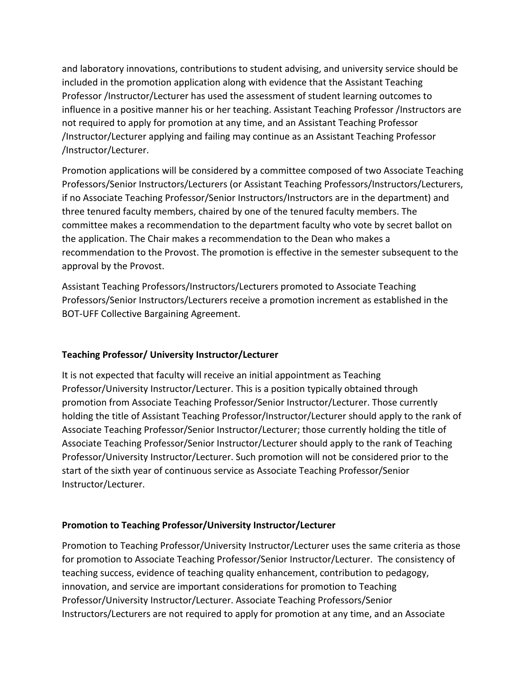and laboratory innovations, contributions to student advising, and university service should be included in the promotion application along with evidence that the Assistant Teaching Professor /Instructor/Lecturer has used the assessment of student learning outcomes to influence in a positive manner his or her teaching. Assistant Teaching Professor /Instructors are not required to apply for promotion at any time, and an Assistant Teaching Professor /Instructor/Lecturer applying and failing may continue as an Assistant Teaching Professor /Instructor/Lecturer.

Promotion applications will be considered by a committee composed of two Associate Teaching Professors/Senior Instructors/Lecturers (or Assistant Teaching Professors/Instructors/Lecturers, if no Associate Teaching Professor/Senior Instructors/Instructors are in the department) and three tenured faculty members, chaired by one of the tenured faculty members. The committee makes a recommendation to the department faculty who vote by secret ballot on the application. The Chair makes a recommendation to the Dean who makes a recommendation to the Provost. The promotion is effective in the semester subsequent to the approval by the Provost.

Assistant Teaching Professors/Instructors/Lecturers promoted to Associate Teaching Professors/Senior Instructors/Lecturers receive a promotion increment as established in the BOT-UFF Collective Bargaining Agreement.

## **Teaching Professor/ University Instructor/Lecturer**

It is not expected that faculty will receive an initial appointment as Teaching Professor/University Instructor/Lecturer. This is a position typically obtained through promotion from Associate Teaching Professor/Senior Instructor/Lecturer. Those currently holding the title of Assistant Teaching Professor/Instructor/Lecturer should apply to the rank of Associate Teaching Professor/Senior Instructor/Lecturer; those currently holding the title of Associate Teaching Professor/Senior Instructor/Lecturer should apply to the rank of Teaching Professor/University Instructor/Lecturer. Such promotion will not be considered prior to the start of the sixth year of continuous service as Associate Teaching Professor/Senior Instructor/Lecturer.

## **Promotion to Teaching Professor/University Instructor/Lecturer**

Promotion to Teaching Professor/University Instructor/Lecturer uses the same criteria as those for promotion to Associate Teaching Professor/Senior Instructor/Lecturer. The consistency of teaching success, evidence of teaching quality enhancement, contribution to pedagogy, innovation, and service are important considerations for promotion to Teaching Professor/University Instructor/Lecturer. Associate Teaching Professors/Senior Instructors/Lecturers are not required to apply for promotion at any time, and an Associate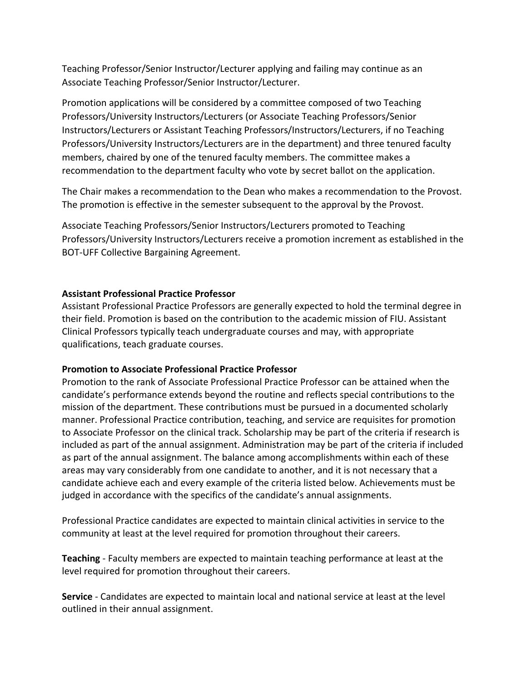Teaching Professor/Senior Instructor/Lecturer applying and failing may continue as an Associate Teaching Professor/Senior Instructor/Lecturer.

Promotion applications will be considered by a committee composed of two Teaching Professors/University Instructors/Lecturers (or Associate Teaching Professors/Senior Instructors/Lecturers or Assistant Teaching Professors/Instructors/Lecturers, if no Teaching Professors/University Instructors/Lecturers are in the department) and three tenured faculty members, chaired by one of the tenured faculty members. The committee makes a recommendation to the department faculty who vote by secret ballot on the application.

The Chair makes a recommendation to the Dean who makes a recommendation to the Provost. The promotion is effective in the semester subsequent to the approval by the Provost.

Associate Teaching Professors/Senior Instructors/Lecturers promoted to Teaching Professors/University Instructors/Lecturers receive a promotion increment as established in the BOT-UFF Collective Bargaining Agreement.

### **Assistant Professional Practice Professor**

Assistant Professional Practice Professors are generally expected to hold the terminal degree in their field. Promotion is based on the contribution to the academic mission of FIU. Assistant Clinical Professors typically teach undergraduate courses and may, with appropriate qualifications, teach graduate courses.

#### **Promotion to Associate Professional Practice Professor**

Promotion to the rank of Associate Professional Practice Professor can be attained when the candidate's performance extends beyond the routine and reflects special contributions to the mission of the department. These contributions must be pursued in a documented scholarly manner. Professional Practice contribution, teaching, and service are requisites for promotion to Associate Professor on the clinical track. Scholarship may be part of the criteria if research is included as part of the annual assignment. Administration may be part of the criteria if included as part of the annual assignment. The balance among accomplishments within each of these areas may vary considerably from one candidate to another, and it is not necessary that a candidate achieve each and every example of the criteria listed below. Achievements must be judged in accordance with the specifics of the candidate's annual assignments.

Professional Practice candidates are expected to maintain clinical activities in service to the community at least at the level required for promotion throughout their careers.

**Teaching** - Faculty members are expected to maintain teaching performance at least at the level required for promotion throughout their careers.

**Service** - Candidates are expected to maintain local and national service at least at the level outlined in their annual assignment.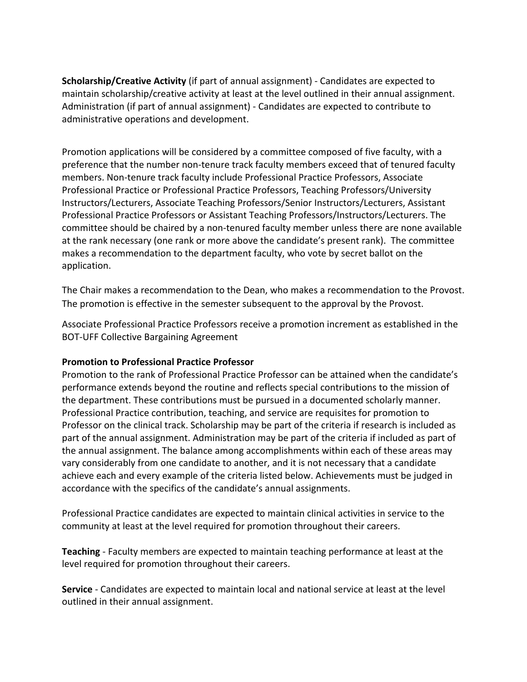**Scholarship/Creative Activity** (if part of annual assignment) - Candidates are expected to maintain scholarship/creative activity at least at the level outlined in their annual assignment. Administration (if part of annual assignment) - Candidates are expected to contribute to administrative operations and development.

Promotion applications will be considered by a committee composed of five faculty, with a preference that the number non-tenure track faculty members exceed that of tenured faculty members. Non-tenure track faculty include Professional Practice Professors, Associate Professional Practice or Professional Practice Professors, Teaching Professors/University Instructors/Lecturers, Associate Teaching Professors/Senior Instructors/Lecturers, Assistant Professional Practice Professors or Assistant Teaching Professors/Instructors/Lecturers. The committee should be chaired by a non-tenured faculty member unless there are none available at the rank necessary (one rank or more above the candidate's present rank). The committee makes a recommendation to the department faculty, who vote by secret ballot on the application.

The Chair makes a recommendation to the Dean, who makes a recommendation to the Provost. The promotion is effective in the semester subsequent to the approval by the Provost.

Associate Professional Practice Professors receive a promotion increment as established in the BOT-UFF Collective Bargaining Agreement

#### **Promotion to Professional Practice Professor**

Promotion to the rank of Professional Practice Professor can be attained when the candidate's performance extends beyond the routine and reflects special contributions to the mission of the department. These contributions must be pursued in a documented scholarly manner. Professional Practice contribution, teaching, and service are requisites for promotion to Professor on the clinical track. Scholarship may be part of the criteria if research is included as part of the annual assignment. Administration may be part of the criteria if included as part of the annual assignment. The balance among accomplishments within each of these areas may vary considerably from one candidate to another, and it is not necessary that a candidate achieve each and every example of the criteria listed below. Achievements must be judged in accordance with the specifics of the candidate's annual assignments.

Professional Practice candidates are expected to maintain clinical activities in service to the community at least at the level required for promotion throughout their careers.

**Teaching** - Faculty members are expected to maintain teaching performance at least at the level required for promotion throughout their careers.

**Service** - Candidates are expected to maintain local and national service at least at the level outlined in their annual assignment.